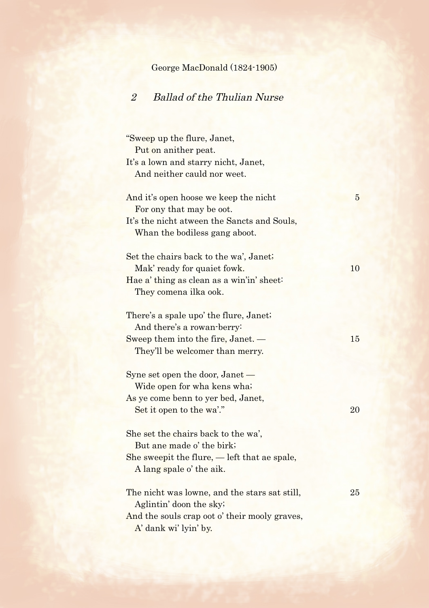## George MacDonald (1824-1905)

## 2 Ballad of the Thulian Nurse

"Sweep up the flure, Janet, Put on anither peat. It's a lown and starry nicht, Janet, And neither cauld nor weet. And it's open hoose we keep the nicht 5 For ony that may be oot. It's the nicht atween the Sancts and Souls, Whan the bodiless gang aboot. Set the chairs back to the wa', Janet; Mak' ready for quaiet fowk. 10 Hae a' thing as clean as a win'in' sheet: They comena ilka ook. There's a spale upo' the flure, Janet; And there's a rowan-berry: Sweep them into the fire, Janet. — 15 They'll be welcomer than merry. Syne set open the door, Janet — Wide open for wha kens wha; As ye come benn to yer bed, Janet, Set it open to the wa'." 20 She set the chairs back to the wa', But ane made o' the birk; She sweepit the flure, — left that ae spale, A lang spale o' the aik. The nicht was lowne, and the stars sat still, 25 Aglintin' doon the sky;

And the souls crap oot o' their mooly graves, A' dank wi' lyin' by.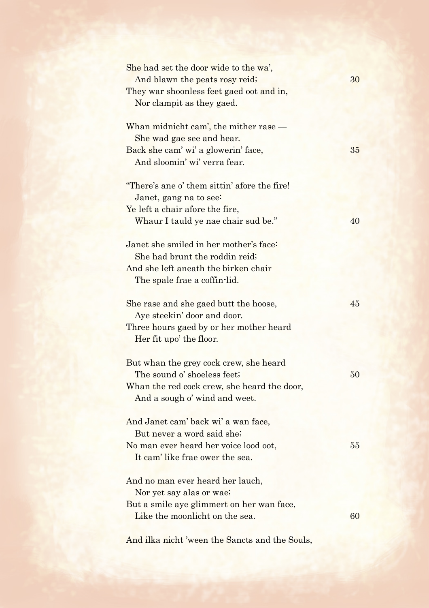| She had set the door wide to the wa',<br>And blawn the peats rosy reid;<br>They war shoonless feet gaed oot and in,<br>Nor clampit as they gaed.      | 30 |
|-------------------------------------------------------------------------------------------------------------------------------------------------------|----|
| Whan midnicht cam', the mither rase —<br>She wad gae see and hear.<br>Back she cam' wi' a glowerin' face,<br>And sloomin' wi' verra fear.             | 35 |
| "There's ane o' them sittin' afore the fire!<br>Janet, gang na to see:<br>Ye left a chair afore the fire,<br>Whaur I tauld ye nae chair sud be."      | 40 |
| Janet she smiled in her mother's face:<br>She had brunt the roddin reid;<br>And she left aneath the birken chair<br>The spale frae a coffin-lid.      |    |
| She rase and she gaed butt the hoose,<br>Aye steekin' door and door.<br>Three hours gaed by or her mother heard<br>Her fit upo' the floor.            | 45 |
| But whan the grey cock crew, she heard<br>The sound o' shoeless feet;<br>Whan the red cock crew, she heard the door,<br>And a sough o' wind and weet. | 50 |
| And Janet cam' back wi' a wan face,<br>But never a word said she;<br>No man ever heard her voice lood oot,<br>It cam' like frae ower the sea.         | 55 |
| And no man ever heard her lauch,<br>Nor yet say alas or wae;<br>But a smile aye glimmert on her wan face,<br>Like the moonlicht on the sea.           | 60 |

And ilka nicht 'ween the Sancts and the Souls,